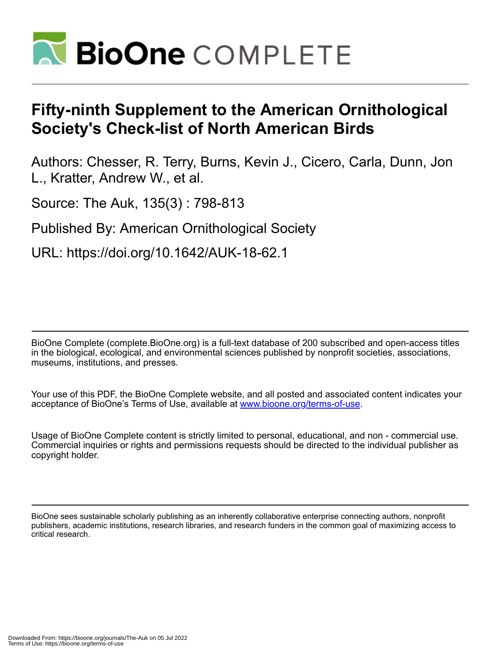

# **Fifty-ninth Supplement to the American Ornithological Society's Check-list of North American Birds**

Authors: Chesser, R. Terry, Burns, Kevin J., Cicero, Carla, Dunn, Jon L., Kratter, Andrew W., et al.

Source: The Auk, 135(3) : 798-813

Published By: American Ornithological Society

URL: https://doi.org/10.1642/AUK-18-62.1

BioOne Complete (complete.BioOne.org) is a full-text database of 200 subscribed and open-access titles in the biological, ecological, and environmental sciences published by nonprofit societies, associations, museums, institutions, and presses.

Your use of this PDF, the BioOne Complete website, and all posted and associated content indicates your acceptance of BioOne's Terms of Use, available at www.bioone.org/terms-of-use.

Usage of BioOne Complete content is strictly limited to personal, educational, and non - commercial use. Commercial inquiries or rights and permissions requests should be directed to the individual publisher as copyright holder.

BioOne sees sustainable scholarly publishing as an inherently collaborative enterprise connecting authors, nonprofit publishers, academic institutions, research libraries, and research funders in the common goal of maximizing access to critical research.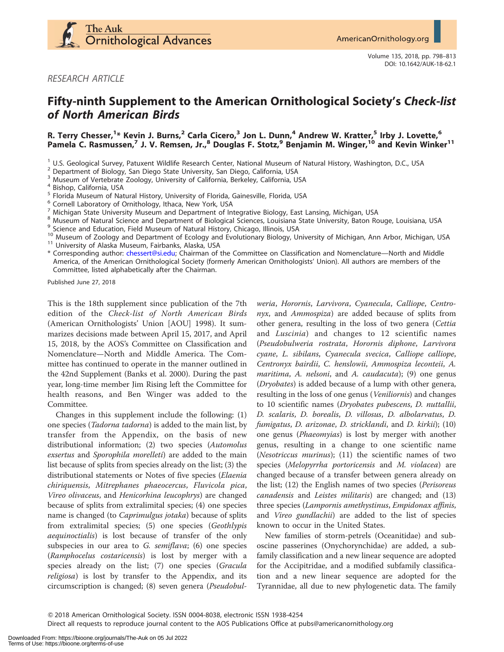

RESEARCH ARTICLE

# Fifty-ninth Supplement to the American Ornithological Society's Check-list of North American Birds

R. Terry Chesser,<sup>1</sup>\* Kevin J. Burns,<sup>2</sup> Carla Cicero,<sup>3</sup> Jon L. Dunn,<sup>4</sup> Andrew W. Kratter,<sup>5</sup> Irby J. Lovette,<sup>6</sup> Pamela C. Rasmussen,<sup>7</sup> J. V. Remsen, Jr.,<sup>8</sup> Douglas F. Stotz,<sup>9</sup> Benjamin M. Winger,<sup>10</sup> and Kevin Winker<sup>11</sup>

- 
- 

<sup>1</sup> U.S. Geological Survey, Patuxent Wildlife Research Center, National Museum of Natural History, Washington, D.C., USA<br>
<sup>2</sup> Department of Biology, San Diego State University, San Diego, California, USA<br>
<sup>4</sup> Museum of Ve

\* Corresponding author: [chessert@si.edu;](mailto:chessert@si.edu) Chairman of the Committee on Classification and Nomenclature—North and Middle America, of the American Ornithological Society (formerly American Ornithologists' Union). All authors are members of the Committee, listed alphabetically after the Chairman.

Published June 27, 2018

This is the 18th supplement since publication of the 7th edition of the Check-list of North American Birds (American Ornithologists' Union [AOU] 1998). It summarizes decisions made between April 15, 2017, and April 15, 2018, by the AOS's Committee on Classification and Nomenclature—North and Middle America. The Committee has continued to operate in the manner outlined in the 42nd Supplement (Banks et al. 2000). During the past year, long-time member Jim Rising left the Committee for health reasons, and Ben Winger was added to the Committee.

Changes in this supplement include the following: (1) one species (Tadorna tadorna) is added to the main list, by transfer from the Appendix, on the basis of new distributional information; (2) two species (Automolus exsertus and Sporophila morelleti) are added to the main list because of splits from species already on the list; (3) the distributional statements or Notes of five species (Elaenia chiriquensis, Mitrephanes phaeocercus, Fluvicola pica, Vireo olivaceus, and Henicorhina leucophrys) are changed because of splits from extralimital species; (4) one species name is changed (to Caprimulgus jotaka) because of splits from extralimital species; (5) one species (Geothlypis aequinoctialis) is lost because of transfer of the only subspecies in our area to G. semiflava; (6) one species (Ramphocelus costaricensis) is lost by merger with a species already on the list; (7) one species (Gracula religiosa) is lost by transfer to the Appendix, and its circumscription is changed; (8) seven genera (Pseudobul-

weria, Horornis, Larvivora, Cyanecula, Calliope, Centronyx, and Ammospiza) are added because of splits from other genera, resulting in the loss of two genera (Cettia and Luscinia) and changes to 12 scientific names (Pseudobulweria rostrata, Horornis diphone, Larvivora cyane, L. sibilans, Cyanecula svecica, Calliope calliope, Centronyx bairdii, C. henslowii, Ammospiza leconteii, A. maritima, A. nelsoni, and A. caudacuta); (9) one genus (Dryobates) is added because of a lump with other genera, resulting in the loss of one genus (Veniliornis) and changes to 10 scientific names (Dryobates pubescens, D. nuttallii, D. scalaris, D. borealis, D. villosus, D. albolarvatus, D. fumigatus, D. arizonae, D. stricklandi, and D. kirkii); (10) one genus (Phaeomyias) is lost by merger with another genus, resulting in a change to one scientific name (Nesotriccus murinus); (11) the scientific names of two species (Melopyrrha portoricensis and M. violacea) are changed because of a transfer between genera already on the list; (12) the English names of two species (Perisoreus canadensis and Leistes militaris) are changed; and (13) three species (Lampornis amethystinus, Empidonax affinis, and Vireo gundlachii) are added to the list of species known to occur in the United States.

New families of storm-petrels (Oceanitidae) and suboscine passerines (Onychorynchidae) are added, a subfamily classification and a new linear sequence are adopted for the Accipitridae, and a modified subfamily classification and a new linear sequence are adopted for the Tyrannidae, all due to new phylogenetic data. The family

Direct all requests to reproduce journal content to the AOS Publications Office at pubs@americanornithology.org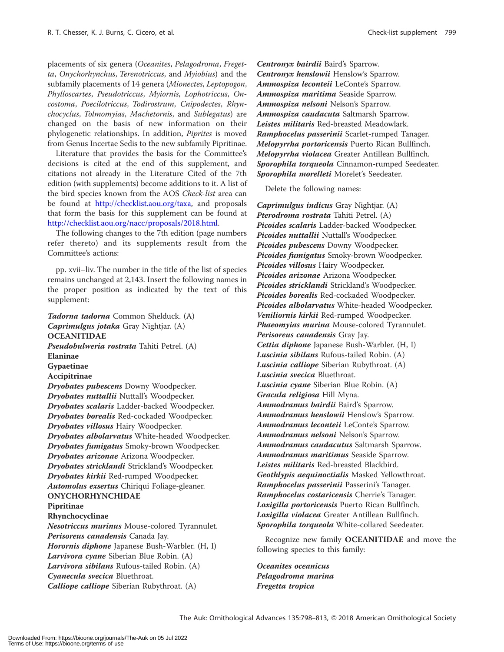placements of six genera (Oceanites, Pelagodroma, Fregetta, Onychorhynchus, Terenotriccus, and Myiobius) and the subfamily placements of 14 genera (Mionectes, Leptopogon, Phylloscartes, Pseudotriccus, Myiornis, Lophotriccus, Oncostoma, Poecilotriccus, Todirostrum, Cnipodectes, Rhynchocyclus, Tolmomyias, Machetornis, and Sublegatus) are changed on the basis of new information on their phylogenetic relationships. In addition, Piprites is moved from Genus Incertae Sedis to the new subfamily Pipritinae.

Literature that provides the basis for the Committee's decisions is cited at the end of this supplement, and citations not already in the Literature Cited of the 7th edition (with supplements) become additions to it. A list of the bird species known from the AOS Check-list area can be found at <http://checklist.aou.org/taxa>, and proposals that form the basis for this supplement can be found at [http://checklist.aou.org/nacc/proposals/2018.html.](http://checklist.aou.org/nacc/proposals/2018.html)

The following changes to the 7th edition (page numbers refer thereto) and its supplements result from the Committee's actions:

pp. xvii–liv. The number in the title of the list of species remains unchanged at 2,143. Insert the following names in the proper position as indicated by the text of this supplement:

Tadorna tadorna Common Shelduck. (A) Caprimulgus jotaka Gray Nightjar. (A) **OCEANITIDAE** Pseudobulweria rostrata Tahiti Petrel. (A) Elaninae Gypaetinae Accipitrinae Dryobates pubescens Downy Woodpecker. Dryobates nuttallii Nuttall's Woodpecker. Dryobates scalaris Ladder-backed Woodpecker. Dryobates borealis Red-cockaded Woodpecker. Dryobates villosus Hairy Woodpecker. Dryobates albolarvatus White-headed Woodpecker. Dryobates fumigatus Smoky-brown Woodpecker. Dryobates arizonae Arizona Woodpecker. Dryobates stricklandi Strickland's Woodpecker. Dryobates kirkii Red-rumped Woodpecker. Automolus exsertus Chiriqui Foliage-gleaner. ONYCHORHYNCHIDAE Pipritinae Rhynchocyclinae Nesotriccus murinus Mouse-colored Tyrannulet. Perisoreus canadensis Canada Jay. Horornis diphone Japanese Bush-Warbler. (H, I) Larvivora cyane Siberian Blue Robin. (A) Larvivora sibilans Rufous-tailed Robin. (A) Cyanecula svecica Bluethroat. Calliope calliope Siberian Rubythroat. (A)

Centronyx bairdii Baird's Sparrow. Centronyx henslowii Henslow's Sparrow. Ammospiza leconteii LeConte's Sparrow. Ammospiza maritima Seaside Sparrow. Ammospiza nelsoni Nelson's Sparrow. Ammospiza caudacuta Saltmarsh Sparrow. Leistes militaris Red-breasted Meadowlark. Ramphocelus passerinii Scarlet-rumped Tanager. Melopyrrha portoricensis Puerto Rican Bullfinch. Melopyrrha violacea Greater Antillean Bullfinch. Sporophila torqueola Cinnamon-rumped Seedeater. Sporophila morelleti Morelet's Seedeater.

Delete the following names:

Caprimulgus indicus Gray Nightjar. (A) Pterodroma rostrata Tahiti Petrel. (A) Picoides scalaris Ladder-backed Woodpecker. Picoides nuttallii Nuttall's Woodpecker. Picoides pubescens Downy Woodpecker. Picoides fumigatus Smoky-brown Woodpecker. Picoides villosus Hairy Woodpecker. Picoides arizonae Arizona Woodpecker. Picoides stricklandi Strickland's Woodpecker. Picoides borealis Red-cockaded Woodpecker. Picoides albolarvatus White-headed Woodpecker. Veniliornis kirkii Red-rumped Woodpecker. Phaeomyias murina Mouse-colored Tyrannulet. Perisoreus canadensis Gray Jay. Cettia diphone Japanese Bush-Warbler. (H, I) Luscinia sibilans Rufous-tailed Robin. (A) Luscinia calliope Siberian Rubythroat. (A) Luscinia svecica Bluethroat. Luscinia cyane Siberian Blue Robin. (A) Gracula religiosa Hill Myna. Ammodramus bairdii Baird's Sparrow. Ammodramus henslowii Henslow's Sparrow. Ammodramus leconteii LeConte's Sparrow. Ammodramus nelsoni Nelson's Sparrow. Ammodramus caudacutus Saltmarsh Sparrow. Ammodramus maritimus Seaside Sparrow. Leistes militaris Red-breasted Blackbird. Geothlypis aequinoctialis Masked Yellowthroat. Ramphocelus passerinii Passerini's Tanager. Ramphocelus costaricensis Cherrie's Tanager. Loxigilla portoricensis Puerto Rican Bullfinch. Loxigilla violacea Greater Antillean Bullfinch. Sporophila torqueola White-collared Seedeater.

Recognize new family OCEANITIDAE and move the following species to this family:

Oceanites oceanicus Pelagodroma marina Fregetta tropica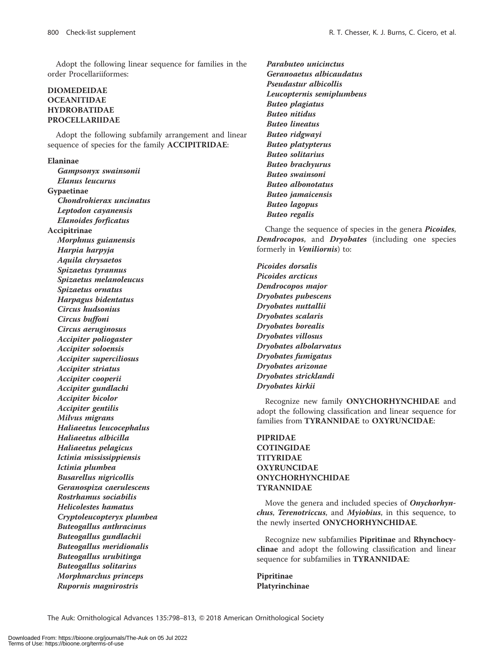Adopt the following linear sequence for families in the order Procellariiformes:

# DIOMEDEIDAE **OCEANITIDAE** HYDROBATIDAE PROCELLARIIDAE

Adopt the following subfamily arrangement and linear sequence of species for the family ACCIPITRIDAE:

### Elaninae

Gampsonyx swainsonii Elanus leucurus Gypaetinae Chondrohierax uncinatus Leptodon cayanensis Elanoides forficatus Accipitrinae Morphnus guianensis Harpia harpyja Aquila chrysaetos Spizaetus tyrannus Spizaetus melanoleucus Spizaetus ornatus Harpagus bidentatus Circus hudsonius Circus buffoni Circus aeruginosus Accipiter poliogaster Accipiter soloensis Accipiter superciliosus Accipiter striatus Accipiter cooperii Accipiter gundlachi Accipiter bicolor Accipiter gentilis Milvus migrans Haliaeetus leucocephalus Haliaeetus albicilla Haliaeetus pelagicus Ictinia mississippiensis Ictinia plumbea Busarellus nigricollis Geranospiza caerulescens Rostrhamus sociabilis Helicolestes hamatus Cryptoleucopteryx plumbea Buteogallus anthracinus Buteogallus gundlachii Buteogallus meridionalis Buteogallus urubitinga Buteogallus solitarius Morphnarchus princeps Rupornis magnirostris

Parabuteo unicinctus Geranoaetus albicaudatus Pseudastur albicollis Leucopternis semiplumbeus Buteo plagiatus Buteo nitidus Buteo lineatus Buteo ridgwayi Buteo platypterus Buteo solitarius Buteo brachyurus Buteo swainsoni Buteo albonotatus Buteo jamaicensis Buteo lagopus Buteo regalis

Change the sequence of species in the genera Picoides, Dendrocopos, and Dryobates (including one species formerly in Veniliornis) to:

Picoides dorsalis Picoides arcticus Dendrocopos major Dryobates pubescens Dryobates nuttallii Dryobates scalaris Dryobates borealis Dryobates villosus Dryobates albolarvatus Dryobates fumigatus Dryobates arizonae Dryobates stricklandi Dryobates kirkii

Recognize new family ONYCHORHYNCHIDAE and adopt the following classification and linear sequence for families from TYRANNIDAE to OXYRUNCIDAE:

# PIPRIDAE **COTINGIDAE** TITYRIDAE OXYRUNCIDAE ONYCHORHYNCHIDAE TYRANNIDAE

Move the genera and included species of Onychorhynchus, Terenotriccus, and Myiobius, in this sequence, to the newly inserted ONYCHORHYNCHIDAE.

Recognize new subfamilies Pipritinae and Rhynchocyclinae and adopt the following classification and linear sequence for subfamilies in TYRANNIDAE:

Pipritinae Platyrinchinae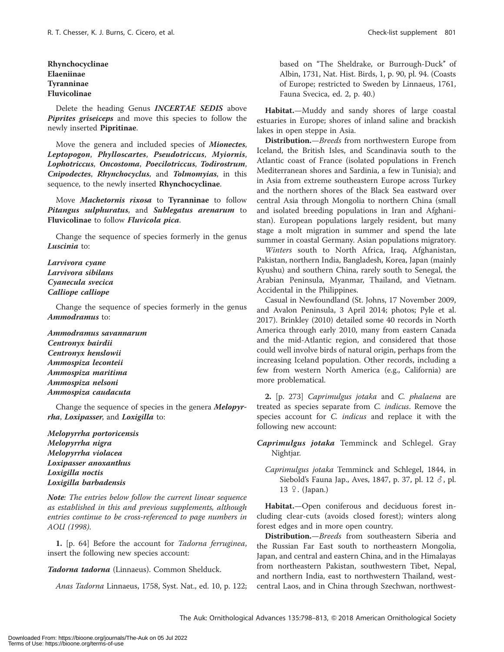Rhynchocyclinae Elaeniinae Tyranninae Fluvicolinae

Delete the heading Genus **INCERTAE SEDIS** above Piprites griseiceps and move this species to follow the newly inserted Pipritinae.

Move the genera and included species of Mionectes, Leptopogon, Phylloscartes, Pseudotriccus, Myiornis, Lophotriccus, Oncostoma, Poecilotriccus, Todirostrum, Cnipodectes, Rhynchocyclus, and Tolmomyias, in this sequence, to the newly inserted Rhynchocyclinae.

Move Machetornis rixosa to Tyranninae to follow Pitangus sulphuratus, and Sublegatus arenarum to Fluvicolinae to follow Fluvicola pica.

Change the sequence of species formerly in the genus Luscinia to:

Larvivora cyane Larvivora sibilans Cyanecula svecica Calliope calliope

Change the sequence of species formerly in the genus Ammodramus to:

Ammodramus savannarum Centronyx bairdii Centronyx henslowii Ammospiza leconteii Ammospiza maritima Ammospiza nelsoni Ammospiza caudacuta

Change the sequence of species in the genera Melopyrrha, Loxipasser, and Loxigilla to:

Melopyrrha portoricensis Melopyrrha nigra Melopyrrha violacea Loxipasser anoxanthus Loxigilla noctis Loxigilla barbadensis

Note: The entries below follow the current linear sequence as established in this and previous supplements, although entries continue to be cross-referenced to page numbers in AOU (1998).

1. [p. 64] Before the account for Tadorna ferruginea, insert the following new species account:

Tadorna tadorna (Linnaeus). Common Shelduck.

Anas Tadorna Linnaeus, 1758, Syst. Nat., ed. 10, p. 122;

based on "The Sheldrake, or Burrough-Duck" of Albin, 1731, Nat. Hist. Birds, 1, p. 90, pl. 94. (Coasts of Europe; restricted to Sweden by Linnaeus, 1761, Fauna Svecica, ed. 2, p. 40.)

Habitat.—Muddy and sandy shores of large coastal estuaries in Europe; shores of inland saline and brackish lakes in open steppe in Asia.

Distribution.—Breeds from northwestern Europe from Iceland, the British Isles, and Scandinavia south to the Atlantic coast of France (isolated populations in French Mediterranean shores and Sardinia, a few in Tunisia); and in Asia from extreme southeastern Europe across Turkey and the northern shores of the Black Sea eastward over central Asia through Mongolia to northern China (small and isolated breeding populations in Iran and Afghanistan). European populations largely resident, but many stage a molt migration in summer and spend the late summer in coastal Germany. Asian populations migratory.

Winters south to North Africa, Iraq, Afghanistan, Pakistan, northern India, Bangladesh, Korea, Japan (mainly Kyushu) and southern China, rarely south to Senegal, the Arabian Peninsula, Myanmar, Thailand, and Vietnam. Accidental in the Philippines.

Casual in Newfoundland (St. Johns, 17 November 2009, and Avalon Peninsula, 3 April 2014; photos; Pyle et al. 2017). Brinkley (2010) detailed some 40 records in North America through early 2010, many from eastern Canada and the mid-Atlantic region, and considered that those could well involve birds of natural origin, perhaps from the increasing Iceland population. Other records, including a few from western North America (e.g., California) are more problematical.

2. [p. 273] Caprimulgus jotaka and C. phalaena are treated as species separate from C. indicus. Remove the species account for C. indicus and replace it with the following new account:

Caprimulgus jotaka Temminck and Schlegel. Gray Nightjar.

Caprimulgus jotaka Temminck and Schlegel, 1844, in Siebold's Fauna Jap., Aves, 1847, p. 37, pl. 12  $\delta$ , pl. 13  $\sqrt{ }$ . (Japan.)

Habitat.—Open coniferous and deciduous forest including clear-cuts (avoids closed forest); winters along forest edges and in more open country.

Distribution.—*Breeds* from southeastern Siberia and the Russian Far East south to northeastern Mongolia, Japan, and central and eastern China, and in the Himalayas from northeastern Pakistan, southwestern Tibet, Nepal, and northern India, east to northwestern Thailand, westcentral Laos, and in China through Szechwan, northwest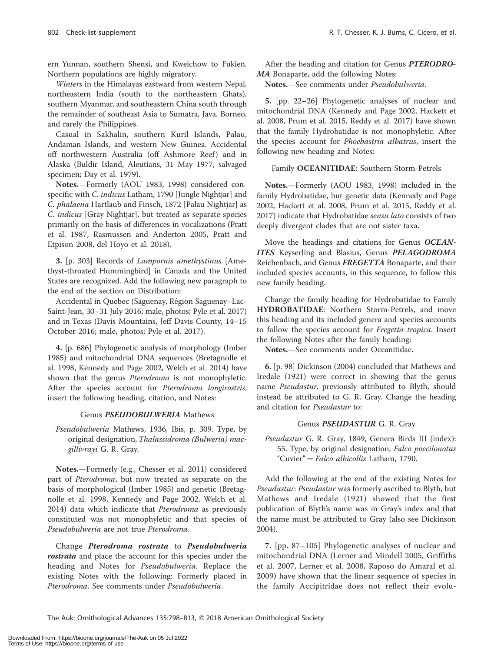ern Yunnan, southern Shensi, and Kweichow to Fukien. Northern populations are highly migratory.

Winters in the Himalayas eastward from western Nepal, northeastern India (south to the northeastern Ghats), southern Myanmar, and southeastern China south through the remainder of southeast Asia to Sumatra, Java, Borneo, and rarely the Philippines.

Casual in Sakhalin, southern Kuril Islands, Palau, Andaman Islands, and western New Guinea. Accidental off northwestern Australia (off Ashmore Reef) and in Alaska (Buldir Island, Aleutians, 31 May 1977, salvaged specimen; Day et al. 1979).

Notes.—Formerly (AOU 1983, 1998) considered conspecific with C. indicus Latham, 1790 [Jungle Nightjar] and C. phalaena Hartlaub and Finsch, 1872 [Palau Nightjar] as C. indicus [Gray Nightjar], but treated as separate species primarily on the basis of differences in vocalizations (Pratt et al. 1987, Rasmussen and Anderton 2005, Pratt and Etpison 2008, del Hoyo et al. 2018).

3. [p. 303] Records of Lampornis amethystinus [Amethyst-throated Hummingbird] in Canada and the United States are recognized. Add the following new paragraph to the end of the section on Distribution:

Accidental in Quebec (Saguenay, Région Saguenay-Lac-Saint-Jean, 30–31 July 2016; male, photos; Pyle et al. 2017) and in Texas (Davis Mountains, Jeff Davis County, 14–15 October 2016; male, photos; Pyle et al. 2017).

4. [p. 686] Phylogenetic analysis of morphology (Imber 1985) and mitochondrial DNA sequences (Bretagnolle et al. 1998, Kennedy and Page 2002, Welch et al. 2014) have shown that the genus *Pterodroma* is not monophyletic. After the species account for Pterodroma longirostris, insert the following heading, citation, and Notes:

#### Genus PSEUDOBULWERIA Mathews

Pseudobulweria Mathews, 1936, Ibis, p. 309. Type, by original designation, Thalassidroma (Bulweria) macgillivrayi G. R. Gray.

Notes.—Formerly (e.g., Chesser et al. 2011) considered part of Pterodroma, but now treated as separate on the basis of morphological (Imber 1985) and genetic (Bretagnolle et al. 1998, Kennedy and Page 2002, Welch et al. 2014) data which indicate that Pterodroma as previously constituted was not monophyletic and that species of Pseudobulweria are not true Pterodroma.

Change Pterodroma rostrata to Pseudobulweria rostrata and place the account for this species under the heading and Notes for Pseudobulweria. Replace the existing Notes with the following: Formerly placed in Pterodroma. See comments under Pseudobulweria.

After the heading and citation for Genus PTERODRO-MA Bonaparte, add the following Notes:

Notes.—See comments under Pseudobulweria.

5. [pp. 22–26] Phylogenetic analyses of nuclear and mitochondrial DNA (Kennedy and Page 2002, Hackett et al. 2008, Prum et al. 2015, Reddy et al. 2017) have shown that the family Hydrobatidae is not monophyletic. After the species account for Phoebastria albatrus, insert the following new heading and Notes:

# Family OCEANITIDAE: Southern Storm-Petrels

Notes.—Formerly (AOU 1983, 1998) included in the family Hydrobatidae, but genetic data (Kennedy and Page 2002, Hackett et al. 2008, Prum et al. 2015, Reddy et al. 2017) indicate that Hydrobatidae sensu lato consists of two deeply divergent clades that are not sister taxa.

Move the headings and citations for Genus OCEAN-ITES Keyserling and Blasius, Genus PELAGODROMA Reichenbach, and Genus FREGETTA Bonaparte, and their included species accounts, in this sequence, to follow this new family heading.

Change the family heading for Hydrobatidae to Family HYDROBATIDAE: Northern Storm-Petrels, and move this heading and its included genera and species accounts to follow the species account for Fregetta tropica. Insert the following Notes after the family heading:

Notes.—See comments under Oceanitidae.

6. [p. 98] Dickinson (2004) concluded that Mathews and Iredale (1921) were correct in showing that the genus name Pseudastur, previously attributed to Blyth, should instead be attributed to G. R. Gray. Change the heading and citation for Pseudastur to:

# Genus PSEUDASTUR G. R. Gray

Pseudastur G. R. Gray, 1849, Genera Birds III (index): 55. Type, by original designation, Falco poecilonotus "Cuvier" = Falco albicollis Latham, 1790.

Add the following at the end of the existing Notes for Pseudastur: Pseudastur was formerly ascribed to Blyth, but Mathews and Iredale (1921) showed that the first publication of Blyth's name was in Gray's index and that the name must be attributed to Gray (also see Dickinson 2004).

7. [pp. 87–105] Phylogenetic analyses of nuclear and mitochondrial DNA (Lerner and Mindell 2005, Griffiths et al. 2007, Lerner et al. 2008, Raposo do Amaral et al. 2009) have shown that the linear sequence of species in the family Accipitridae does not reflect their evolu-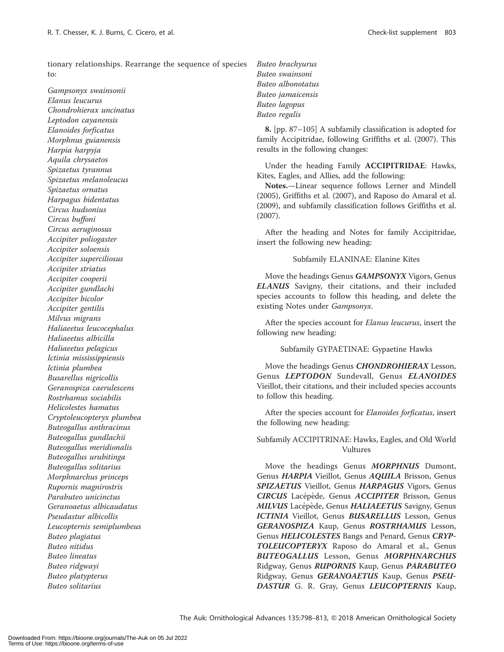tionary relationships. Rearrange the sequence of species to:

Gampsonyx swainsonii Elanus leucurus Chondrohierax uncinatus Leptodon cayanensis Elanoides forficatus Morphnus guianensis Harpia harpyja Aquila chrysaetos Spizaetus tyrannus Spizaetus melanoleucus Spizaetus ornatus Harpagus bidentatus Circus hudsonius Circus buffoni Circus aeruginosus Accipiter poliogaster Accipiter soloensis Accipiter superciliosus Accipiter striatus Accipiter cooperii Accipiter gundlachi Accipiter bicolor Accipiter gentilis Milvus migrans Haliaeetus leucocephalus Haliaeetus albicilla Haliaeetus pelagicus Ictinia mississippiensis Ictinia plumbea Busarellus nigricollis Geranospiza caerulescens Rostrhamus sociabilis Helicolestes hamatus Cryptoleucopteryx plumbea Buteogallus anthracinus Buteogallus gundlachii Buteogallus meridionalis Buteogallus urubitinga Buteogallus solitarius Morphnarchus princeps Rupornis magnirostris Parabuteo unicinctus Geranoaetus albicaudatus Pseudastur albicollis Leucopternis semiplumbeus Buteo plagiatus Buteo nitidus Buteo lineatus Buteo ridgwayi Buteo platypterus Buteo solitarius

Buteo brachyurus Buteo swainsoni Buteo albonotatus Buteo jamaicensis Buteo lagopus Buteo regalis

8. [pp. 87–105] A subfamily classification is adopted for family Accipitridae, following Griffiths et al. (2007). This results in the following changes:

Under the heading Family ACCIPITRIDAE: Hawks, Kites, Eagles, and Allies, add the following:

Notes.—Linear sequence follows Lerner and Mindell (2005), Griffiths et al. (2007), and Raposo do Amaral et al. (2009), and subfamily classification follows Griffiths et al. (2007).

After the heading and Notes for family Accipitridae, insert the following new heading:

#### Subfamily ELANINAE: Elanine Kites

Move the headings Genus GAMPSONYX Vigors, Genus ELANUS Savigny, their citations, and their included species accounts to follow this heading, and delete the existing Notes under Gampsonyx.

After the species account for Elanus leucurus, insert the following new heading:

Subfamily GYPAETINAE: Gypaetine Hawks

Move the headings Genus **CHONDROHIERAX** Lesson, Genus LEPTODON Sundevall, Genus ELANOIDES Vieillot, their citations, and their included species accounts to follow this heading.

After the species account for Elanoides forficatus, insert the following new heading:

Subfamily ACCIPITRINAE: Hawks, Eagles, and Old World Vultures

Move the headings Genus MORPHNUS Dumont, Genus HARPIA Vieillot, Genus AQUILA Brisson, Genus SPIZAETUS Vieillot, Genus HARPAGUS Vigors, Genus CIRCUS Lacépède, Genus ACCIPITER Brisson, Genus MILVUS Lacépède, Genus HALIAEETUS Savigny, Genus ICTINIA Vieillot, Genus BUSARELLUS Lesson, Genus GERANOSPIZA Kaup, Genus ROSTRHAMUS Lesson, Genus HELICOLESTES Bangs and Penard, Genus CRYP-TOLEUCOPTERYX Raposo do Amaral et al., Genus BUTEOGALLUS Lesson, Genus MORPHNARCHUS Ridgway, Genus RUPORNIS Kaup, Genus PARABUTEO Ridgway, Genus GERANOAETUS Kaup, Genus PSEU-DASTUR G. R. Gray, Genus LEUCOPTERNIS Kaup,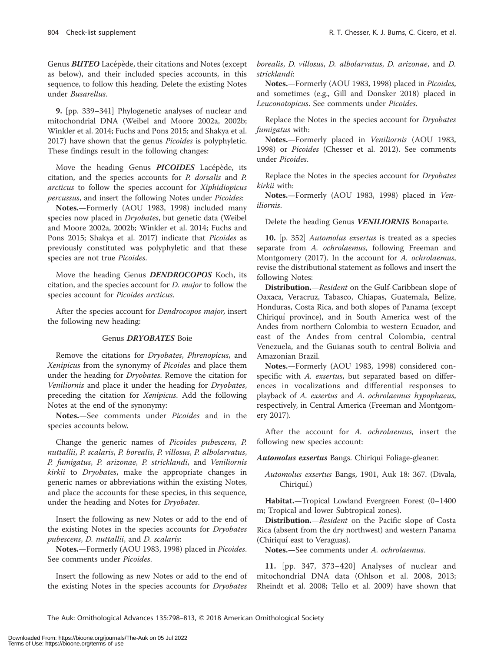Genus **BUTEO** Lacépède, their citations and Notes (except as below), and their included species accounts, in this sequence, to follow this heading. Delete the existing Notes under Busarellus.

9. [pp. 339–341] Phylogenetic analyses of nuclear and mitochondrial DNA (Weibel and Moore 2002a, 2002b; Winkler et al. 2014; Fuchs and Pons 2015; and Shakya et al. 2017) have shown that the genus Picoides is polyphyletic. These findings result in the following changes:

Move the heading Genus PICOIDES Lacépède, its citation, and the species accounts for P. dorsalis and P. arcticus to follow the species account for Xiphidiopicus percussus, and insert the following Notes under Picoides:

Notes.—Formerly (AOU 1983, 1998) included many species now placed in Dryobates, but genetic data (Weibel and Moore 2002a, 2002b; Winkler et al. 2014; Fuchs and Pons 2015; Shakya et al. 2017) indicate that Picoides as previously constituted was polyphyletic and that these species are not true Picoides.

Move the heading Genus DENDROCOPOS Koch, its citation, and the species account for D. major to follow the species account for Picoides arcticus.

After the species account for *Dendrocopos major*, insert the following new heading:

#### Genus DRYOBATES Boie

Remove the citations for Dryobates, Phrenopicus, and Xenipicus from the synonymy of Picoides and place them under the heading for Dryobates. Remove the citation for Veniliornis and place it under the heading for Dryobates, preceding the citation for Xenipicus. Add the following Notes at the end of the synonymy:

Notes.—See comments under Picoides and in the species accounts below.

Change the generic names of Picoides pubescens, P. nuttallii, P. scalaris, P. borealis, P. villosus, P. albolarvatus, P. fumigatus, P. arizonae, P. stricklandi, and Veniliornis kirkii to Dryobates, make the appropriate changes in generic names or abbreviations within the existing Notes, and place the accounts for these species, in this sequence, under the heading and Notes for Dryobates.

Insert the following as new Notes or add to the end of the existing Notes in the species accounts for Dryobates pubescens, D. nuttallii, and D. scalaris:

Notes.—Formerly (AOU 1983, 1998) placed in Picoides. See comments under Picoides.

Insert the following as new Notes or add to the end of the existing Notes in the species accounts for Dryobates

borealis, D. villosus, D. albolarvatus, D. arizonae, and D. stricklandi:

Notes.—Formerly (AOU 1983, 1998) placed in Picoides, and sometimes (e.g., Gill and Donsker 2018) placed in Leuconotopicus. See comments under Picoides.

Replace the Notes in the species account for Dryobates fumigatus with:

Notes.—Formerly placed in Veniliornis (AOU 1983, 1998) or Picoides (Chesser et al. 2012). See comments under Picoides.

Replace the Notes in the species account for Dryobates kirkii with:

Notes.—Formerly (AOU 1983, 1998) placed in Veniliornis.

Delete the heading Genus VENILIORNIS Bonaparte.

10. [p. 352] *Automolus exsertus* is treated as a species separate from A. ochrolaemus, following Freeman and Montgomery (2017). In the account for A. ochrolaemus, revise the distributional statement as follows and insert the following Notes:

Distribution.—Resident on the Gulf-Caribbean slope of Oaxaca, Veracruz, Tabasco, Chiapas, Guatemala, Belize, Honduras, Costa Rica, and both slopes of Panama (except Chiriquí province), and in South America west of the Andes from northern Colombia to western Ecuador, and east of the Andes from central Colombia, central Venezuela, and the Guianas south to central Bolivia and Amazonian Brazil.

Notes.—Formerly (AOU 1983, 1998) considered conspecific with A. exsertus, but separated based on differences in vocalizations and differential responses to playback of A. exsertus and A. ochrolaemus hypophaeus, respectively, in Central America (Freeman and Montgomery 2017).

After the account for A. *ochrolaemus*, insert the following new species account:

Automolus exsertus Bangs. Chiriqui Foliage-gleaner.

Automolus exsertus Bangs, 1901, Auk 18: 367. (Divala, Chiriquí.)

Habitat.—Tropical Lowland Evergreen Forest (0–1400 m; Tropical and lower Subtropical zones).

Distribution.—Resident on the Pacific slope of Costa Rica (absent from the dry northwest) and western Panama (Chiriquí east to Veraguas).

Notes.—See comments under A. ochrolaemus.

11. [pp. 347, 373–420] Analyses of nuclear and mitochondrial DNA data (Ohlson et al. 2008, 2013; Rheindt et al. 2008; Tello et al. 2009) have shown that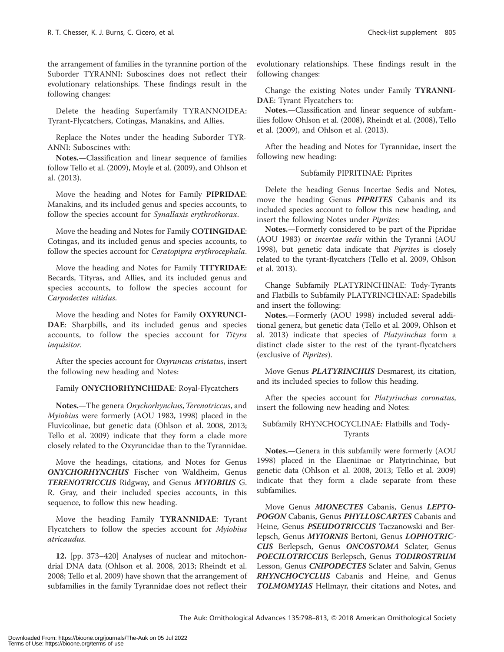the arrangement of families in the tyrannine portion of the Suborder TYRANNI: Suboscines does not reflect their evolutionary relationships. These findings result in the following changes:

Delete the heading Superfamily TYRANNOIDEA: Tyrant-Flycatchers, Cotingas, Manakins, and Allies.

Replace the Notes under the heading Suborder TYR-ANNI: Suboscines with:

Notes.—Classification and linear sequence of families follow Tello et al. (2009), Moyle et al. (2009), and Ohlson et al. (2013).

Move the heading and Notes for Family PIPRIDAE: Manakins, and its included genus and species accounts, to follow the species account for Synallaxis erythrothorax.

Move the heading and Notes for Family COTINGIDAE: Cotingas, and its included genus and species accounts, to follow the species account for Ceratopipra erythrocephala.

Move the heading and Notes for Family TITYRIDAE: Becards, Tityras, and Allies, and its included genus and species accounts, to follow the species account for Carpodectes nitidus.

Move the heading and Notes for Family OXYRUNCI-DAE: Sharpbills, and its included genus and species accounts, to follow the species account for Tityra inquisitor.

After the species account for Oxyruncus cristatus, insert the following new heading and Notes:

# Family ONYCHORHYNCHIDAE: Royal-Flycatchers

Notes.—The genera Onychorhynchus, Terenotriccus, and Myiobius were formerly (AOU 1983, 1998) placed in the Fluvicolinae, but genetic data (Ohlson et al. 2008, 2013; Tello et al. 2009) indicate that they form a clade more closely related to the Oxyruncidae than to the Tyrannidae.

Move the headings, citations, and Notes for Genus ONYCHORHYNCHUS Fischer von Waldheim, Genus TERENOTRICCUS Ridgway, and Genus MYIOBIUS G. R. Gray, and their included species accounts, in this sequence, to follow this new heading.

Move the heading Family TYRANNIDAE: Tyrant Flycatchers to follow the species account for Myiobius atricaudus.

12. [pp. 373–420] Analyses of nuclear and mitochondrial DNA data (Ohlson et al. 2008, 2013; Rheindt et al. 2008; Tello et al. 2009) have shown that the arrangement of subfamilies in the family Tyrannidae does not reflect their

evolutionary relationships. These findings result in the following changes:

Change the existing Notes under Family TYRANNI-DAE: Tyrant Flycatchers to:

Notes.—Classification and linear sequence of subfamilies follow Ohlson et al. (2008), Rheindt et al. (2008), Tello et al. (2009), and Ohlson et al. (2013).

After the heading and Notes for Tyrannidae, insert the following new heading:

# Subfamily PIPRITINAE: Piprites

Delete the heading Genus Incertae Sedis and Notes, move the heading Genus PIPRITES Cabanis and its included species account to follow this new heading, and insert the following Notes under Piprites:

Notes.—Formerly considered to be part of the Pipridae (AOU 1983) or incertae sedis within the Tyranni (AOU 1998), but genetic data indicate that Piprites is closely related to the tyrant-flycatchers (Tello et al. 2009, Ohlson et al. 2013).

Change Subfamily PLATYRINCHINAE: Tody-Tyrants and Flatbills to Subfamily PLATYRINCHINAE: Spadebills and insert the following:

Notes.—Formerly (AOU 1998) included several additional genera, but genetic data (Tello et al. 2009, Ohlson et al. 2013) indicate that species of Platyrinchus form a distinct clade sister to the rest of the tyrant-flycatchers (exclusive of Piprites).

Move Genus PLATYRINCHUS Desmarest, its citation, and its included species to follow this heading.

After the species account for Platyrinchus coronatus, insert the following new heading and Notes:

# Subfamily RHYNCHOCYCLINAE: Flatbills and Tody-Tyrants

Notes.—Genera in this subfamily were formerly (AOU 1998) placed in the Elaeniinae or Platyrinchinae, but genetic data (Ohlson et al. 2008, 2013; Tello et al. 2009) indicate that they form a clade separate from these subfamilies.

Move Genus **MIONECTES** Cabanis, Genus LEPTO-POGON Cabanis, Genus PHYLLOSCARTES Cabanis and Heine, Genus PSEUDOTRICCUS Taczanowski and Berlepsch, Genus MYIORNIS Bertoni, Genus LOPHOTRIC-CUS Berlepsch, Genus ONCOSTOMA Sclater, Genus POECILOTRICCUS Berlepsch, Genus TODIROSTRUM Lesson, Genus CNIPODECTES Sclater and Salvin, Genus RHYNCHOCYCLUS Cabanis and Heine, and Genus TOLMOMYIAS Hellmayr, their citations and Notes, and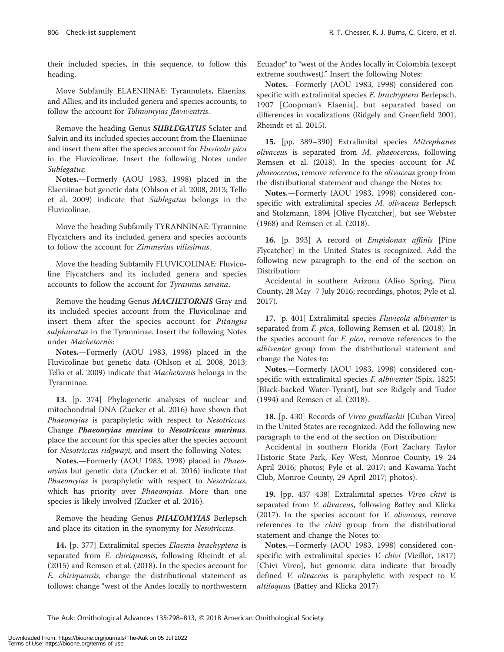their included species, in this sequence, to follow this heading.

Move Subfamily ELAENIINAE: Tyrannulets, Elaenias, and Allies, and its included genera and species accounts, to follow the account for Tolmomyias flaviventris.

Remove the heading Genus **SUBLEGATUS** Sclater and Salvin and its included species account from the Elaeniinae and insert them after the species account for Fluvicola pica in the Fluvicolinae. Insert the following Notes under Sublegatus:

Notes.—Formerly (AOU 1983, 1998) placed in the Elaeniinae but genetic data (Ohlson et al. 2008, 2013; Tello et al. 2009) indicate that Sublegatus belongs in the Fluvicolinae.

Move the heading Subfamily TYRANNINAE: Tyrannine Flycatchers and its included genera and species accounts to follow the account for Zimmerius vilissimus.

Move the heading Subfamily FLUVICOLINAE: Fluvicoline Flycatchers and its included genera and species accounts to follow the account for Tyrannus savana.

Remove the heading Genus MACHETORNIS Gray and its included species account from the Fluvicolinae and insert them after the species account for Pitangus sulphuratus in the Tyranninae. Insert the following Notes under Machetornis:

Notes.—Formerly (AOU 1983, 1998) placed in the Fluvicolinae but genetic data (Ohlson et al. 2008, 2013; Tello et al. 2009) indicate that Machetornis belongs in the Tyranninae.

13. [p. 374] Phylogenetic analyses of nuclear and mitochondrial DNA (Zucker et al. 2016) have shown that Phaeomyias is paraphyletic with respect to Nesotriccus. Change Phaeomyias murina to Nesotriccus murinus, place the account for this species after the species account for Nesotriccus ridgwayi, and insert the following Notes:

Notes.—Formerly (AOU 1983, 1998) placed in Phaeomyias but genetic data (Zucker et al. 2016) indicate that Phaeomyias is paraphyletic with respect to Nesotriccus, which has priority over *Phaeomyias*. More than one species is likely involved (Zucker et al. 2016).

Remove the heading Genus **PHAEOMYIAS** Berlepsch and place its citation in the synonymy for Nesotriccus.

14. [p. 377] Extralimital species *Elaenia brachyptera* is separated from *E. chiriquensis*, following Rheindt et al. (2015) and Remsen et al. (2018). In the species account for E. chiriquensis, change the distributional statement as follows: change "west of the Andes locally to northwestern Ecuador" to "west of the Andes locally in Colombia (except extreme southwest)." Insert the following Notes:

Notes.—Formerly (AOU 1983, 1998) considered conspecific with extralimital species E. brachyptera Berlepsch, 1907 [Coopman's Elaenia], but separated based on differences in vocalizations (Ridgely and Greenfield 2001, Rheindt et al. 2015).

15. [pp. 389–390] Extralimital species Mitrephanes olivaceus is separated from M. phaeocercus, following Remsen et al. (2018). In the species account for M. phaeocercus, remove reference to the olivaceus group from the distributional statement and change the Notes to:

Notes.—Formerly (AOU 1983, 1998) considered conspecific with extralimital species M. olivaceus Berlepsch and Stolzmann, 1894 [Olive Flycatcher], but see Webster (1968) and Remsen et al. (2018).

16. [p. 393] A record of *Empidonax affinis* [Pine Flycatcher] in the United States is recognized. Add the following new paragraph to the end of the section on Distribution:

Accidental in southern Arizona (Aliso Spring, Pima County, 28 May–7 July 2016; recordings, photos; Pyle et al. 2017).

17. [p. 401] Extralimital species Fluvicola albiventer is separated from F. pica, following Remsen et al. (2018). In the species account for *F. pica*, remove references to the albiventer group from the distributional statement and change the Notes to:

Notes.—Formerly (AOU 1983, 1998) considered conspecific with extralimital species F. albiventer (Spix, 1825) [Black-backed Water-Tyrant], but see Ridgely and Tudor (1994) and Remsen et al. (2018).

18. [p. 430] Records of Vireo gundlachii [Cuban Vireo] in the United States are recognized. Add the following new paragraph to the end of the section on Distribution:

Accidental in southern Florida (Fort Zachary Taylor Historic State Park, Key West, Monroe County, 19–24 April 2016; photos; Pyle et al. 2017; and Kawama Yacht Club, Monroe County, 29 April 2017; photos).

19. [pp. 437–438] Extralimital species Vireo chivi is separated from *V. olivaceus*, following Battey and Klicka (2017). In the species account for V. olivaceus, remove references to the *chivi* group from the distributional statement and change the Notes to:

Notes.—Formerly (AOU 1983, 1998) considered conspecific with extralimital species V. chivi (Vieillot, 1817) [Chivi Vireo], but genomic data indicate that broadly defined V. olivaceus is paraphyletic with respect to V. altiloquus (Battey and Klicka 2017).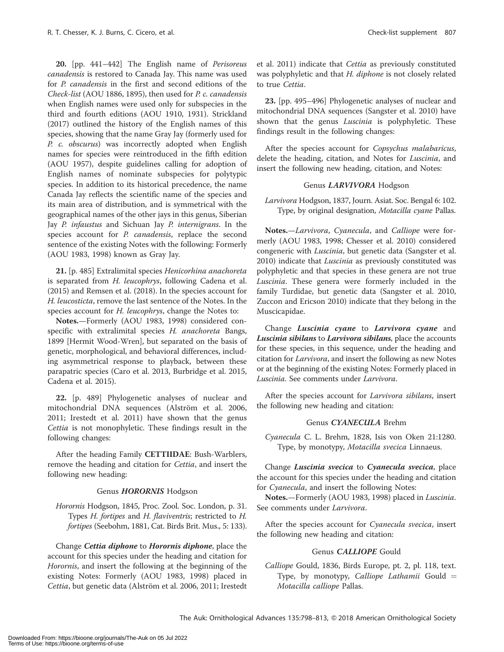20. [pp. 441-442] The English name of Perisoreus canadensis is restored to Canada Jay. This name was used for P. canadensis in the first and second editions of the Check-list (AOU 1886, 1895), then used for P. c. canadensis when English names were used only for subspecies in the third and fourth editions (AOU 1910, 1931). Strickland (2017) outlined the history of the English names of this species, showing that the name Gray Jay (formerly used for P. c. obscurus) was incorrectly adopted when English names for species were reintroduced in the fifth edition (AOU 1957), despite guidelines calling for adoption of English names of nominate subspecies for polytypic species. In addition to its historical precedence, the name Canada Jay reflects the scientific name of the species and its main area of distribution, and is symmetrical with the geographical names of the other jays in this genus, Siberian Jay P. infaustus and Sichuan Jay P. internigrans. In the species account for *P. canadensis*, replace the second sentence of the existing Notes with the following: Formerly (AOU 1983, 1998) known as Gray Jay.

21. [p. 485] Extralimital species Henicorhina anachoreta is separated from H. leucophrys, following Cadena et al. (2015) and Remsen et al. (2018). In the species account for H. leucosticta, remove the last sentence of the Notes. In the species account for *H. leucophrys*, change the Notes to:

Notes.—Formerly (AOU 1983, 1998) considered conspecific with extralimital species H. anachoreta Bangs, 1899 [Hermit Wood-Wren], but separated on the basis of genetic, morphological, and behavioral differences, including asymmetrical response to playback, between these parapatric species (Caro et al. 2013, Burbridge et al. 2015, Cadena et al. 2015).

22. [p. 489] Phylogenetic analyses of nuclear and mitochondrial DNA sequences (Alström et al. 2006, 2011; Irestedt et al. 2011) have shown that the genus Cettia is not monophyletic. These findings result in the following changes:

After the heading Family CETTIIDAE: Bush-Warblers, remove the heading and citation for Cettia, and insert the following new heading:

#### Genus HORORNIS Hodgson

Horornis Hodgson, 1845, Proc. Zool. Soc. London, p. 31. Types H. fortipes and H. flaviventris; restricted to H. fortipes (Seebohm, 1881, Cat. Birds Brit. Mus., 5: 133).

Change *Cettia diphone* to *Horornis diphone*, place the account for this species under the heading and citation for Horornis, and insert the following at the beginning of the existing Notes: Formerly (AOU 1983, 1998) placed in Cettia, but genetic data (Alström et al. 2006, 2011; Irestedt et al. 2011) indicate that Cettia as previously constituted was polyphyletic and that H. diphone is not closely related to true Cettia.

23. [pp. 495–496] Phylogenetic analyses of nuclear and mitochondrial DNA sequences (Sangster et al. 2010) have shown that the genus *Luscinia* is polyphyletic. These findings result in the following changes:

After the species account for Copsychus malabaricus, delete the heading, citation, and Notes for Luscinia, and insert the following new heading, citation, and Notes:

# Genus LARVIVORA Hodgson

Larvivora Hodgson, 1837, Journ. Asiat. Soc. Bengal 6: 102. Type, by original designation, Motacilla cyane Pallas.

Notes.—Larvivora, Cyanecula, and Calliope were formerly (AOU 1983, 1998; Chesser et al. 2010) considered congeneric with Luscinia, but genetic data (Sangster et al. 2010) indicate that *Luscinia* as previously constituted was polyphyletic and that species in these genera are not true Luscinia. These genera were formerly included in the family Turdidae, but genetic data (Sangster et al. 2010, Zuccon and Ericson 2010) indicate that they belong in the Muscicapidae.

Change Luscinia cyane to Larvivora cyane and Luscinia sibilans to Larvivora sibilans, place the accounts for these species, in this sequence, under the heading and citation for Larvivora, and insert the following as new Notes or at the beginning of the existing Notes: Formerly placed in Luscinia. See comments under Larvivora.

After the species account for Larvivora sibilans, insert the following new heading and citation:

#### Genus CYANECULA Brehm

Cyanecula C. L. Brehm, 1828, Isis von Oken 21:1280. Type, by monotypy, Motacilla svecica Linnaeus.

Change Luscinia svecica to Cyanecula svecica, place the account for this species under the heading and citation for Cyanecula, and insert the following Notes:

Notes.—Formerly (AOU 1983, 1998) placed in Luscinia. See comments under Larvivora.

After the species account for Cyanecula svecica, insert the following new heading and citation:

#### Genus CALLIOPE Gould

Calliope Gould, 1836, Birds Europe, pt. 2, pl. 118, text. Type, by monotypy, *Calliope Lathamii* Gould  $=$ Motacilla calliope Pallas.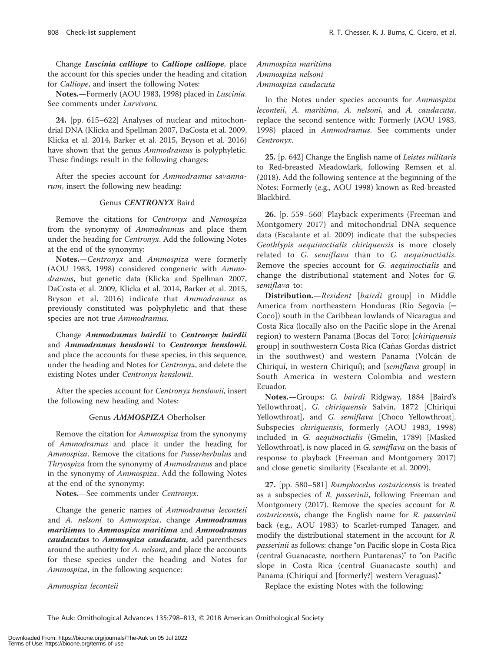Change Luscinia calliope to Calliope calliope, place the account for this species under the heading and citation for Calliope, and insert the following Notes:

Notes.—Formerly (AOU 1983, 1998) placed in Luscinia. See comments under Larvivora.

24. [pp. 615–622] Analyses of nuclear and mitochondrial DNA (Klicka and Spellman 2007, DaCosta et al. 2009, Klicka et al. 2014, Barker et al. 2015, Bryson et al. 2016) have shown that the genus Ammodramus is polyphyletic. These findings result in the following changes:

After the species account for Ammodramus savannarum, insert the following new heading:

#### Genus CENTRONYX Baird

Remove the citations for Centronyx and Nemospiza from the synonymy of Ammodramus and place them under the heading for Centronyx. Add the following Notes at the end of the synonymy:

Notes.—Centronyx and Ammospiza were formerly (AOU 1983, 1998) considered congeneric with Ammodramus, but genetic data (Klicka and Spellman 2007, DaCosta et al. 2009, Klicka et al. 2014, Barker et al. 2015, Bryson et al. 2016) indicate that Ammodramus as previously constituted was polyphyletic and that these species are not true Ammodramus.

Change Ammodramus bairdii to Centronyx bairdii and Ammodramus henslowii to Centronyx henslowii, and place the accounts for these species, in this sequence, under the heading and Notes for Centronyx, and delete the existing Notes under Centronyx henslowii.

After the species account for Centronyx henslowii, insert the following new heading and Notes:

#### Genus AMMOSPIZA Oberholser

Remove the citation for Ammospiza from the synonymy of Ammodramus and place it under the heading for Ammospiza. Remove the citations for Passerherbulus and Thryospiza from the synonymy of Ammodramus and place in the synonymy of Ammospiza. Add the following Notes at the end of the synonymy:

Notes.-See comments under Centronyx.

Change the generic names of Ammodramus leconteii and A. nelsoni to Ammospiza, change Ammodramus maritimus to Ammospiza maritima and Ammodramus caudacutus to Ammospiza caudacuta, add parentheses around the authority for A. nelsoni, and place the accounts for these species under the heading and Notes for Ammospiza, in the following sequence:

Ammospiza leconteii

Ammospiza maritima Ammospiza nelsoni Ammospiza caudacuta

In the Notes under species accounts for Ammospiza leconteii, A. maritima, A. nelsoni, and A. caudacuta, replace the second sentence with: Formerly (AOU 1983, 1998) placed in Ammodramus. See comments under Centronyx.

25. [p. 642] Change the English name of Leistes militaris to Red-breasted Meadowlark, following Remsen et al. (2018). Add the following sentence at the beginning of the Notes: Formerly (e.g., AOU 1998) known as Red-breasted Blackbird.

26. [p. 559–560] Playback experiments (Freeman and Montgomery 2017) and mitochondrial DNA sequence data (Escalante et al. 2009) indicate that the subspecies Geothlypis aequinoctialis chiriquensis is more closely related to G. semiflava than to G. aequinoctialis. Remove the species account for G. aequinoctialis and change the distributional statement and Notes for G. semiflava to:

Distribution.—Resident [bairdi group] in Middle America from northeastern Honduras (Río Segovia  $\models$ Coco]) south in the Caribbean lowlands of Nicaragua and Costa Rica (locally also on the Pacific slope in the Arenal region) to western Panama (Bocas del Toro; [chiriquensis group] in southwestern Costa Rica (Cañas Gordas district in the southwest) and western Panama (Volcán de Chiriquí, in western Chiriquí); and [semiflava group] in South America in western Colombia and western Ecuador.

Notes.—Groups: G. bairdi Ridgway, 1884 [Baird's Yellowthroat], G. chiriquensis Salvin, 1872 [Chiriqui Yellowthroat], and G. semiflava [Choco Yellowthroat]. Subspecies chiriquensis, formerly (AOU 1983, 1998) included in G. aequinoctialis (Gmelin, 1789) [Masked Yellowthroat], is now placed in G. semiflava on the basis of response to playback (Freeman and Montgomery 2017) and close genetic similarity (Escalante et al. 2009).

27. [pp. 580–581] Ramphocelus costaricensis is treated as a subspecies of R. passerinii, following Freeman and Montgomery (2017). Remove the species account for R. costaricensis, change the English name for R. passerinii back (e.g., AOU 1983) to Scarlet-rumped Tanager, and modify the distributional statement in the account for R. passerinii as follows: change "on Pacific slope in Costa Rica (central Guanacaste, northern Puntarenas)" to "on Pacific slope in Costa Rica (central Guanacaste south) and Panama (Chiriquí and [formerly?] western Veraguas)."

Replace the existing Notes with the following: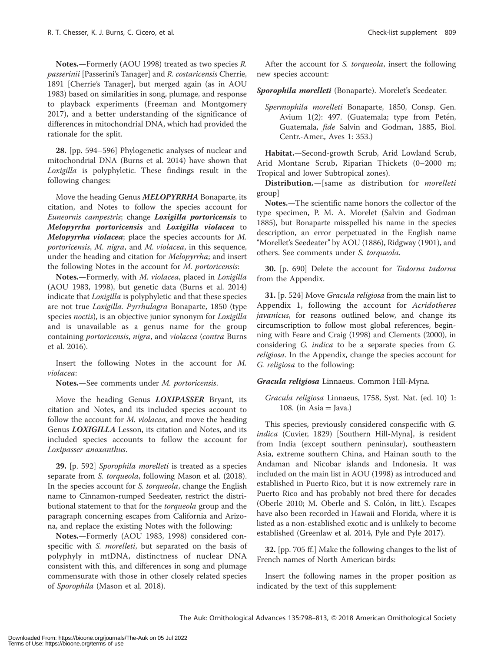Notes.—Formerly (AOU 1998) treated as two species R. passerinii [Passerini's Tanager] and R. costaricensis Cherrie, 1891 [Cherrie's Tanager], but merged again (as in AOU 1983) based on similarities in song, plumage, and response to playback experiments (Freeman and Montgomery 2017), and a better understanding of the significance of differences in mitochondrial DNA, which had provided the rationale for the split.

28. [pp. 594–596] Phylogenetic analyses of nuclear and mitochondrial DNA (Burns et al. 2014) have shown that Loxigilla is polyphyletic. These findings result in the following changes:

Move the heading Genus MELOPYRRHA Bonaparte, its citation, and Notes to follow the species account for Euneornis campestris; change Loxigilla portoricensis to Melopyrrha portoricensis and Loxigilla violacea to Melopyrrha violacea; place the species accounts for M. portoricensis, M. nigra, and M. violacea, in this sequence, under the heading and citation for Melopyrrha; and insert the following Notes in the account for M. portoricensis:

Notes.—Formerly, with M. violacea, placed in Loxigilla (AOU 1983, 1998), but genetic data (Burns et al. 2014) indicate that Loxigilla is polyphyletic and that these species are not true Loxigilla. Pyrrhulagra Bonaparte, 1850 (type species noctis), is an objective junior synonym for Loxigilla and is unavailable as a genus name for the group containing portoricensis, nigra, and violacea (contra Burns et al. 2016).

Insert the following Notes in the account for M. violacea:

Notes.—See comments under M. portoricensis.

Move the heading Genus **LOXIPASSER** Bryant, its citation and Notes, and its included species account to follow the account for M. violacea, and move the heading Genus LOXIGILLA Lesson, its citation and Notes, and its included species accounts to follow the account for Loxipasser anoxanthus.

29. [p. 592] Sporophila morelleti is treated as a species separate from S. torqueola, following Mason et al. (2018). In the species account for S. torqueola, change the English name to Cinnamon-rumped Seedeater, restrict the distributional statement to that for the torqueola group and the paragraph concerning escapes from California and Arizona, and replace the existing Notes with the following:

Notes.—Formerly (AOU 1983, 1998) considered conspecific with S. morelleti, but separated on the basis of polyphyly in mtDNA, distinctness of nuclear DNA consistent with this, and differences in song and plumage commensurate with those in other closely related species of Sporophila (Mason et al. 2018).

After the account for S. torqueola, insert the following new species account:

Sporophila morelleti (Bonaparte). Morelet's Seedeater.

Spermophila morelleti Bonaparte, 1850, Consp. Gen. Avium  $1(2)$ : 497. (Guatemala; type from Petén, Guatemala, fide Salvin and Godman, 1885, Biol. Centr.-Amer., Aves 1: 353.)

Habitat.—Second-growth Scrub, Arid Lowland Scrub, Arid Montane Scrub, Riparian Thickets (0–2000 m; Tropical and lower Subtropical zones).

Distribution.—[same as distribution for morelleti group]

Notes.—The scientific name honors the collector of the type specimen, P. M. A. Morelet (Salvin and Godman 1885), but Bonaparte misspelled his name in the species description, an error perpetuated in the English name "Morellet's Seedeater" by AOU (1886), Ridgway (1901), and others. See comments under S. torqueola.

30. [p. 690] Delete the account for Tadorna tadorna from the Appendix.

31. [p. 524] Move Gracula religiosa from the main list to Appendix 1, following the account for Acridotheres javanicus, for reasons outlined below, and change its circumscription to follow most global references, beginning with Feare and Craig (1998) and Clements (2000), in considering G. indica to be a separate species from G. religiosa. In the Appendix, change the species account for G. religiosa to the following:

Gracula religiosa Linnaeus. Common Hill-Myna.

Gracula religiosa Linnaeus, 1758, Syst. Nat. (ed. 10) 1: 108. (in Asia  $=$  Java.)

This species, previously considered conspecific with G. indica (Cuvier, 1829) [Southern Hill-Myna], is resident from India (except southern peninsular), southeastern Asia, extreme southern China, and Hainan south to the Andaman and Nicobar islands and Indonesia. It was included on the main list in AOU (1998) as introduced and established in Puerto Rico, but it is now extremely rare in Puerto Rico and has probably not bred there for decades (Oberle 2010; M. Oberle and S. Colón, in litt.). Escapes have also been recorded in Hawaii and Florida, where it is listed as a non-established exotic and is unlikely to become established (Greenlaw et al. 2014, Pyle and Pyle 2017).

32. [pp. 705 ff.] Make the following changes to the list of French names of North American birds:

Insert the following names in the proper position as indicated by the text of this supplement: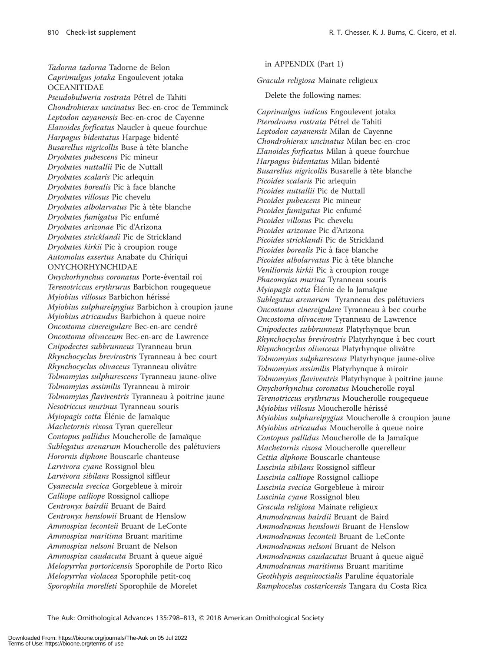Tadorna tadorna Tadorne de Belon Caprimulgus jotaka Engoulevent jotaka **OCEANITIDAE** Pseudobulweria rostrata Pétrel de Tahiti Chondrohierax uncinatus Bec-en-croc de Temminck Leptodon cayanensis Bec-en-croc de Cayenne Elanoides forficatus Naucler à queue fourchue Harpagus bidentatus Harpage bidenté Busarellus nigricollis Buse à tête blanche Dryobates pubescens Pic mineur Dryobates nuttallii Pic de Nuttall Dryobates scalaris Pic arlequin Dryobates borealis Pic à face blanche Dryobates villosus Pic chevelu Dryobates albolarvatus Pic à tête blanche Dryobates fumigatus Pic enfumé Dryobates arizonae Pic d'Arizona Dryobates stricklandi Pic de Strickland Dryobates kirkii Pic à croupion rouge Automolus exsertus Anabate du Chiriqui ONYCHORHYNCHIDAE Onychorhynchus coronatus Porte-éventail roi Terenotriccus erythrurus Barbichon rougequeue Myiobius villosus Barbichon hérissé Myiobius sulphureipygius Barbichon à croupion jaune Myiobius atricaudus Barbichon à queue noire Oncostoma cinereigulare Bec-en-arc cendré Oncostoma olivaceum Bec-en-arc de Lawrence Cnipodectes subbrunneus Tyranneau brun Rhynchocyclus brevirostris Tyranneau à bec court Rhynchocyclus olivaceus Tyranneau olivâtre Tolmomyias sulphurescens Tyranneau jaune-olive Tolmomyias assimilis Tyranneau à miroir Tolmomyias flaviventris Tyranneau à poitrine jaune Nesotriccus murinus Tyranneau souris Myiopagis cotta Elénie de Jamaïque Machetornis rixosa Tyran querelleur Contopus pallidus Moucherolle de Jamaïque Sublegatus arenarum Moucherolle des palétuviers Horornis diphone Bouscarle chanteuse Larvivora cyane Rossignol bleu Larvivora sibilans Rossignol siffleur Cyanecula svecica Gorgebleue à miroir Calliope calliope Rossignol calliope Centronyx bairdii Bruant de Baird Centronyx henslowii Bruant de Henslow Ammospiza leconteii Bruant de LeConte Ammospiza maritima Bruant maritime Ammospiza nelsoni Bruant de Nelson Ammospiza caudacuta Bruant à queue aiguë Melopyrrha portoricensis Sporophile de Porto Rico Melopyrrha violacea Sporophile petit-coq Sporophila morelleti Sporophile de Morelet

in APPENDIX (Part 1)

Gracula religiosa Mainate religieux

Delete the following names:

Caprimulgus indicus Engoulevent jotaka Pterodroma rostrata Pétrel de Tahiti Leptodon cayanensis Milan de Cayenne Chondrohierax uncinatus Milan bec-en-croc Elanoides forficatus Milan à queue fourchue Harpagus bidentatus Milan bidenté Busarellus nigricollis Busarelle à tête blanche Picoides scalaris Pic arlequin Picoides nuttallii Pic de Nuttall Picoides pubescens Pic mineur Picoides fumigatus Pic enfumé Picoides villosus Pic chevelu Picoides arizonae Pic d'Arizona Picoides stricklandi Pic de Strickland Picoides borealis Pic à face blanche Picoides albolarvatus Pic à tête blanche Veniliornis kirkii Pic à croupion rouge Phaeomyias murina Tyranneau souris Myiopagis cotta Élénie de la Jamaïque Sublegatus arenarum Tyranneau des palétuviers Oncostoma cinereigulare Tyranneau à bec courbe Oncostoma olivaceum Tyranneau de Lawrence Cnipodectes subbrunneus Platyrhynque brun Rhynchocyclus brevirostris Platyrhynque à bec court Rhynchocyclus olivaceus Platyrhynque olivâtre Tolmomyias sulphurescens Platyrhynque jaune-olive Tolmomyias assimilis Platyrhynque à miroir Tolmomyias flaviventris Platyrhynque à poitrine jaune Onychorhynchus coronatus Moucherolle royal Terenotriccus erythrurus Moucherolle rougequeue Myiobius villosus Moucherolle hérissé Myiobius sulphureipygius Moucherolle à croupion jaune Myiobius atricaudus Moucherolle à queue noire Contopus pallidus Moucherolle de la Jamaïque Machetornis rixosa Moucherolle querelleur Cettia diphone Bouscarle chanteuse Luscinia sibilans Rossignol siffleur Luscinia calliope Rossignol calliope Luscinia svecica Gorgebleue à miroir Luscinia cyane Rossignol bleu Gracula religiosa Mainate religieux Ammodramus bairdii Bruant de Baird Ammodramus henslowii Bruant de Henslow Ammodramus leconteii Bruant de LeConte Ammodramus nelsoni Bruant de Nelson Ammodramus caudacutus Bruant à queue aiguë Ammodramus maritimus Bruant maritime Geothlypis aequinoctialis Paruline équatoriale Ramphocelus costaricensis Tangara du Costa Rica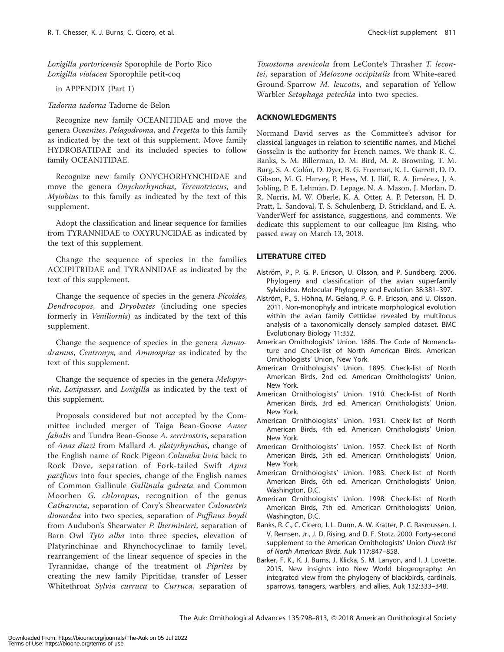Loxigilla portoricensis Sporophile de Porto Rico Loxigilla violacea Sporophile petit-coq

in APPENDIX (Part 1)

Tadorna tadorna Tadorne de Belon

Recognize new family OCEANITIDAE and move the genera Oceanites, Pelagodroma, and Fregetta to this family as indicated by the text of this supplement. Move family HYDROBATIDAE and its included species to follow family OCEANITIDAE.

Recognize new family ONYCHORHYNCHIDAE and move the genera Onychorhynchus, Terenotriccus, and Myiobius to this family as indicated by the text of this supplement.

Adopt the classification and linear sequence for families from TYRANNIDAE to OXYRUNCIDAE as indicated by the text of this supplement.

Change the sequence of species in the families ACCIPITRIDAE and TYRANNIDAE as indicated by the text of this supplement.

Change the sequence of species in the genera Picoides, Dendrocopos, and Dryobates (including one species formerly in Veniliornis) as indicated by the text of this supplement.

Change the sequence of species in the genera Ammodramus, Centronyx, and Ammospiza as indicated by the text of this supplement.

Change the sequence of species in the genera Melopyrrha, Loxipasser, and Loxigilla as indicated by the text of this supplement.

Proposals considered but not accepted by the Committee included merger of Taiga Bean-Goose Anser fabalis and Tundra Bean-Goose A. serrirostris, separation of Anas diazi from Mallard A. platyrhynchos, change of the English name of Rock Pigeon Columba livia back to Rock Dove, separation of Fork-tailed Swift Apus pacificus into four species, change of the English names of Common Gallinule Gallinula galeata and Common Moorhen G. chloropus, recognition of the genus Catharacta, separation of Cory's Shearwater Calonectris diomedea into two species, separation of Puffinus boydi from Audubon's Shearwater P. lherminieri, separation of Barn Owl Tyto alba into three species, elevation of Platyrinchinae and Rhynchocyclinae to family level, rearrangement of the linear sequence of species in the Tyrannidae, change of the treatment of Piprites by creating the new family Pipritidae, transfer of Lesser Whitethroat Sylvia curruca to Curruca, separation of Toxostoma arenicola from LeConte's Thrasher T. lecontei, separation of Melozone occipitalis from White-eared Ground-Sparrow M. leucotis, and separation of Yellow Warbler Setophaga petechia into two species.

# ACKNOWLEDGMENTS

Normand David serves as the Committee's advisor for classical languages in relation to scientific names, and Michel Gosselin is the authority for French names. We thank R. C. Banks, S. M. Billerman, D. M. Bird, M. R. Browning, T. M. Burg, S. A. Colón, D. Dyer, B. G. Freeman, K. L. Garrett, D. D. Gibson, M. G. Harvey, P. Hess, M. J. Iliff, R. A. Jiménez, J. A. Jobling, P. E. Lehman, D. Lepage, N. A. Mason, J. Morlan, D. R. Norris, M. W. Oberle, K. A. Otter, A. P. Peterson, H. D. Pratt, L. Sandoval, T. S. Schulenberg, D. Strickland, and E. A. VanderWerf for assistance, suggestions, and comments. We dedicate this supplement to our colleague Jim Rising, who passed away on March 13, 2018.

#### LITERATURE CITED

- Alström, P., P. G. P. Ericson, U. Olsson, and P. Sundberg. 2006. Phylogeny and classification of the avian superfamily Sylvioidea. Molecular Phylogeny and Evolution 38:381–397.
- Alström, P., S. Höhna, M. Gelang, P. G. P. Ericson, and U. Olsson. 2011. Non-monophyly and intricate morphological evolution within the avian family Cettiidae revealed by multilocus analysis of a taxonomically densely sampled dataset. BMC Evolutionary Biology 11:352.
- American Ornithologists' Union. 1886. The Code of Nomenclature and Check-list of North American Birds. American Ornithologists' Union, New York.
- American Ornithologists' Union. 1895. Check-list of North American Birds, 2nd ed. American Ornithologists' Union, New York.
- American Ornithologists' Union. 1910. Check-list of North American Birds, 3rd ed. American Ornithologists' Union, New York.
- American Ornithologists' Union. 1931. Check-list of North American Birds, 4th ed. American Ornithologists' Union, New York.
- American Ornithologists' Union. 1957. Check-list of North American Birds, 5th ed. American Ornithologists' Union, New York.
- American Ornithologists' Union. 1983. Check-list of North American Birds, 6th ed. American Ornithologists' Union, Washington, D.C.
- American Ornithologists' Union. 1998. Check-list of North American Birds, 7th ed. American Ornithologists' Union, Washington, D.C.
- Banks, R. C., C. Cicero, J. L. Dunn, A. W. Kratter, P. C. Rasmussen, J. V. Remsen, Jr., J. D. Rising, and D. F. Stotz. 2000. Forty-second supplement to the American Ornithologists' Union Check-list of North American Birds. Auk 117:847–858.
- Barker, F. K., K. J. Burns, J. Klicka, S. M. Lanyon, and I. J. Lovette. 2015. New insights into New World biogeography: An integrated view from the phylogeny of blackbirds, cardinals, sparrows, tanagers, warblers, and allies. Auk 132:333–348.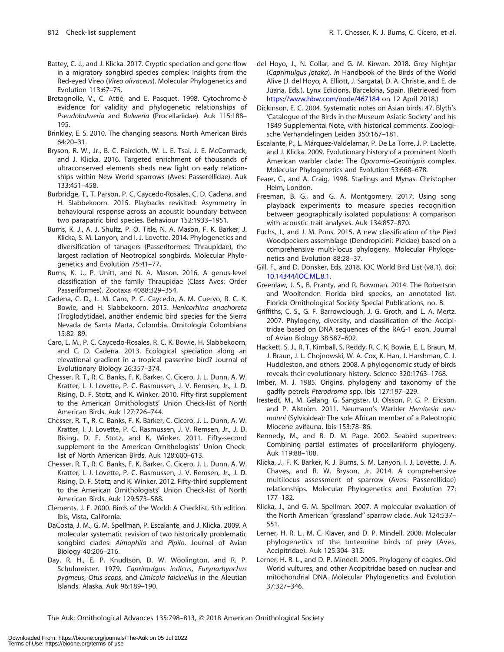- Battey, C. J., and J. Klicka. 2017. Cryptic speciation and gene flow in a migratory songbird species complex: Insights from the Red-eyed Vireo (Vireo olivaceus). Molecular Phylogenetics and Evolution 113:67–75.
- Bretagnolle, V., C. Attié, and E. Pasquet. 1998. Cytochrome-b evidence for validity and phylogenetic relationships of Pseudobulweria and Bulweria (Procellariidae). Auk 115:188– 195.
- Brinkley, E. S. 2010. The changing seasons. North American Birds 64:20–31.
- Bryson, R. W., Jr., B. C. Faircloth, W. L. E. Tsai, J. E. McCormack, and J. Klicka. 2016. Targeted enrichment of thousands of ultraconserved elements sheds new light on early relationships within New World sparrows (Aves: Passerellidae). Auk 133:451–458.
- Burbridge, T., T. Parson, P. C. Caycedo-Rosales, C. D. Cadena, and H. Slabbekoorn. 2015. Playbacks revisited: Asymmetry in behavioural response across an acoustic boundary between two parapatric bird species. Behaviour 152:1933–1951.
- Burns, K. J., A. J. Shultz, P. O. Title, N. A. Mason, F. K. Barker, J. Klicka, S. M. Lanyon, and I. J. Lovette. 2014. Phylogenetics and diversification of tanagers (Passeriformes: Thraupidae), the largest radiation of Neotropical songbirds. Molecular Phylogenetics and Evolution 75:41–77.
- Burns, K. J., P. Unitt, and N. A. Mason. 2016. A genus-level classification of the family Thraupidae (Class Aves: Order Passeriformes). Zootaxa 4088:329–354.
- Cadena, C. D., L. M. Caro, P. C. Caycedo, A. M. Cuervo, R. C. K. Bowie, and H. Slabbekoorn. 2015. Henicorhina anachoreta (Troglodytidae), another endemic bird species for the Sierra Nevada de Santa Marta, Colombia. Ornitología Colombiana 15:82–89.
- Caro, L. M., P. C. Caycedo-Rosales, R. C. K. Bowie, H. Slabbekoorn, and C. D. Cadena. 2013. Ecological speciation along an elevational gradient in a tropical passerine bird? Journal of Evolutionary Biology 26:357–374.
- Chesser, R. T., R. C. Banks, F. K. Barker, C. Cicero, J. L. Dunn, A. W. Kratter, I. J. Lovette, P. C. Rasmussen, J. V. Remsen, Jr., J. D. Rising, D. F. Stotz, and K. Winker. 2010. Fifty-first supplement to the American Ornithologists' Union Check-list of North American Birds. Auk 127:726–744.
- Chesser, R. T., R. C. Banks, F. K. Barker, C. Cicero, J. L. Dunn, A. W. Kratter, I. J. Lovette, P. C. Rasmussen, J. V. Remsen, Jr., J. D. Rising, D. F. Stotz, and K. Winker. 2011. Fifty-second supplement to the American Ornithologists' Union Checklist of North American Birds. Auk 128:600–613.
- Chesser, R. T., R. C. Banks, F. K. Barker, C. Cicero, J. L. Dunn, A. W. Kratter, I. J. Lovette, P. C. Rasmussen, J. V. Remsen, Jr., J. D. Rising, D. F. Stotz, and K. Winker. 2012. Fifty-third supplement to the American Ornithologists' Union Check-list of North American Birds. Auk 129:573–588.
- Clements, J. F. 2000. Birds of the World: A Checklist, 5th edition. Ibis, Vista, California.
- DaCosta, J. M., G. M. Spellman, P. Escalante, and J. Klicka. 2009. A molecular systematic revision of two historically problematic songbird clades: Aimophila and Pipilo. Journal of Avian Biology 40:206–216.
- Day, R. H., E. P. Knudtson, D. W. Woolington, and R. P. Schulmeister. 1979. Caprimulgus indicus, Eurynorhynchus pygmeus, Otus scops, and Limicola falcinellus in the Aleutian Islands, Alaska. Auk 96:189–190.
- del Hoyo, J., N. Collar, and G. M. Kirwan. 2018. Grey Nightjar (Caprimulgus jotaka). In Handbook of the Birds of the World Alive (J. del Hoyo, A. Elliott, J. Sargatal, D. A. Christie, and E. de Juana, Eds.). Lynx Edicions, Barcelona, Spain. (Retrieved from <https://www.hbw.com/node/467184> on 12 April 2018.)
- Dickinson, E. C. 2004. Systematic notes on Asian birds. 47. Blyth's 'Catalogue of the Birds in the Museum Asiatic Society' and his 1849 Supplemental Note, with historical comments. Zoologische Verhandelingen Leiden 350:167–181.
- Escalante, P., L. Márquez-Valdelamar, P. De La Torre, J. P. Laclette, and J. Klicka. 2009. Evolutionary history of a prominent North American warbler clade: The Oporornis–Geothlypis complex. Molecular Phylogenetics and Evolution 53:668–678.
- Feare, C., and A. Craig. 1998. Starlings and Mynas. Christopher Helm, London.
- Freeman, B. G., and G. A. Montgomery. 2017. Using song playback experiments to measure species recognition between geographically isolated populations: A comparison with acoustic trait analyses. Auk 134:857–870.
- Fuchs, J., and J. M. Pons. 2015. A new classification of the Pied Woodpeckers assemblage (Dendropicini: Picidae) based on a comprehensive multi-locus phylogeny. Molecular Phylogenetics and Evolution 88:28–37.
- Gill, F., and D. Donsker, Eds. 2018. IOC World Bird List (v8.1). doi: [10.14344/IOC.ML.8.1.](dx.doi.org/10.14344/IOC.ML.8.1)
- Greenlaw, J. S., B. Pranty, and R. Bowman. 2014. The Robertson and Woolfenden Florida bird species, an annotated list. Florida Ornithological Society Special Publications, no. 8.
- Griffiths, C. S., G. F. Barrowclough, J. G. Groth, and L. A. Mertz. 2007. Phylogeny, diversity, and classification of the Accipitridae based on DNA sequences of the RAG-1 exon. Journal of Avian Biology 38:587–602.
- Hackett, S. J., R. T. Kimball, S. Reddy, R. C. K. Bowie, E. L. Braun, M. J. Braun, J. L. Chojnowski, W. A. Cox, K. Han, J. Harshman, C. J. Huddleston, and others. 2008. A phylogenomic study of birds reveals their evolutionary history. Science 320:1763–1768.
- Imber, M. J. 1985. Origins, phylogeny and taxonomy of the gadfly petrels Pterodroma spp. Ibis 127:197–229.
- Irestedt, M., M. Gelang, G. Sangster, U. Olsson, P. G. P. Ericson, and P. Alström. 2011. Neumann's Warbler Hemitesia neumanni (Sylvioidea): The sole African member of a Paleotropic Miocene avifauna. Ibis 153:78–86.
- Kennedy, M., and R. D. M. Page. 2002. Seabird supertrees: Combining partial estimates of procellariiform phylogeny. Auk 119:88–108.
- Klicka, J., F. K. Barker, K. J. Burns, S. M. Lanyon, I. J. Lovette, J. A. Chaves, and R. W. Bryson, Jr. 2014. A comprehensive multilocus assessment of sparrow (Aves: Passerellidae) relationships. Molecular Phylogenetics and Evolution 77: 177–182.
- Klicka, J., and G. M. Spellman. 2007. A molecular evaluation of the North American ''grassland'' sparrow clade. Auk 124:537– 551.
- Lerner, H. R. L., M. C. Klaver, and D. P. Mindell. 2008. Molecular phylogenetics of the buteonine birds of prey (Aves, Accipitridae). Auk 125:304–315.
- Lerner, H. R. L., and D. P. Mindell. 2005. Phylogeny of eagles, Old World vultures, and other Accipitridae based on nuclear and mitochondrial DNA. Molecular Phylogenetics and Evolution 37:327–346.